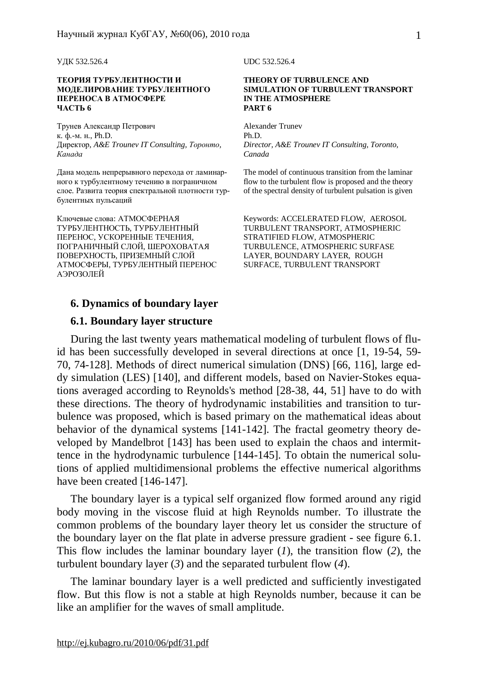#### **ТЕОРИЯ ТУРБУЛЕНТНОСТИ И МОДЕЛИРОВАНИЕ ТУРБУЛЕНТНОГО ПЕРЕНОСА В АТМОСФЕРЕ ЧАСТЬ 6**

Трунев Александр Петрович к. ф.-м. н., Ph.D. Директор, *A&E Trounev IT Consulting, Торонто, Канада*

Дана модель непрерывного перехода от ламинарного к турбулентному течению в пограничном слое. Развита теория спектральной плотности турбулентных пульсаций

Ключевые слова: АТМОСФЕРНАЯ ТУРБУЛЕНТНОСТЬ, ТУРБУЛЕНТНЫЙ ПЕРЕНОС, УСКОРЕННЫЕ ТЕЧЕНИЯ, ПОГРАНИЧНЫЙ СЛОЙ, ШЕРОХОВАТАЯ ПОВЕРХНОСТЬ, ПРИЗЕМНЫЙ СЛОЙ АТМОСФЕРЫ, ТУРБУЛЕНТНЫЙ ПЕРЕНОС АЭРОЗОЛЕЙ

**6. Dynamics of boundary layer** 

# **6.1. Boundary layer structure**

УДК 532.526.4 UDC 532.526.4

#### **THEORY OF TURBULENCE AND SIMULATION OF TURBULENT TRANSPORT IN THE ATMOSPHERE PART 6**

Alexander Trunev Ph.D. *Director, A&E Trounev IT Consulting, Toronto, Canada* 

The model of continuous transition from the laminar flow to the turbulent flow is proposed and the theory of the spectral density of turbulent pulsation is given

Keywords: ACCELERATED FLOW, AEROSOL TURBULENT TRANSPORT, ATMOSPHERIC STRATIFIED FLOW, ATMOSPHERIC TURBULENCE, ATMOSPHERIC SURFASE LAYER, BOUNDARY LAYER, ROUGH SURFACE, TURBULENT TRANSPORT

During the last twenty years mathematical modeling of turbulent flows of fluid has been successfully developed in several directions at once [1, 19-54, 59- 70, 74-128]. Methods of direct numerical simulation (DNS) [66, 116], large eddy simulation (LES) [140], and different models, based on Navier-Stokes equations averaged according to Reynolds's method [28-38, 44, 51] have to do with these directions. The theory of hydrodynamic instabilities and transition to turbulence was proposed, which is based primary on the mathematical ideas about behavior of the dynamical systems [141-142]. The fractal geometry theory developed by Mandelbrot [143] has been used to explain the chaos and intermittence in the hydrodynamic turbulence [144-145]. To obtain the numerical solutions of applied multidimensional problems the effective numerical algorithms have been created [146-147].

The boundary layer is a typical self organized flow formed around any rigid body moving in the viscose fluid at high Reynolds number. To illustrate the common problems of the boundary layer theory let us consider the structure of the boundary layer on the flat plate in adverse pressure gradient - see figure 6.1. This flow includes the laminar boundary layer (*1*), the transition flow (*2*), the turbulent boundary layer (*3*) and the separated turbulent flow (*4*).

The laminar boundary layer is a well predicted and sufficiently investigated flow. But this flow is not a stable at high Reynolds number, because it can be like an amplifier for the waves of small amplitude.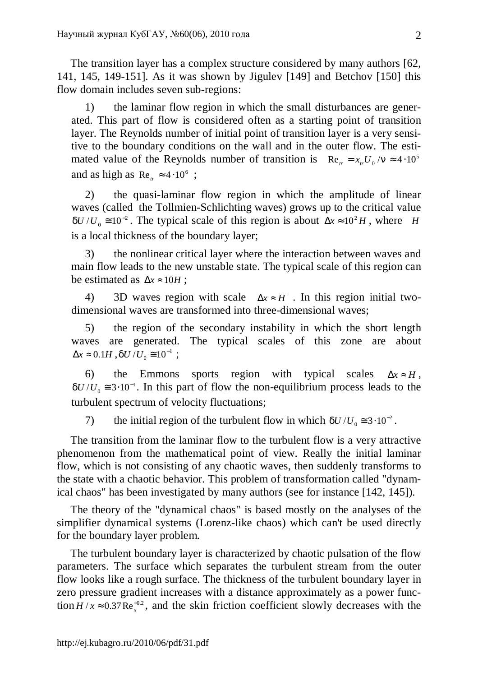The transition layer has a complex structure considered by many authors [62, 141, 145, 149-151]. As it was shown by Jigulev [149] and Betchov [150] this flow domain includes seven sub-regions:

1) the laminar flow region in which the small disturbances are generated. This part of flow is considered often as a starting point of transition layer. The Reynolds number of initial point of transition layer is a very sensitive to the boundary conditions on the wall and in the outer flow. The estimated value of the Reynolds number of transition is  $\text{Re}_v = x_v U_0 / n \approx 4.10^5$ and as high as  $Re<sub>r</sub> \approx 4 \cdot 10^6$ ;

2) the quasi-laminar flow region in which the amplitude of linear waves (called the Tollmien-Schlichting waves) grows up to the critical value 2  $dU/U_0 \approx 10^{-2}$ . The typical scale of this region is about  $\Delta x \approx 10^2 H$ , where *H* is a local thickness of the boundary layer;

3) the nonlinear critical layer where the interaction between waves and main flow leads to the new unstable state. The typical scale of this region can be estimated as  $\Delta x \approx 10H$ ;

4) 3D waves region with scale  $\Delta x \approx H$ . In this region initial twodimensional waves are transformed into three-dimensional waves;

5) the region of the secondary instability in which the short length waves are generated. The typical scales of this zone are about  $\Delta x \approx 0.1H$ ,  $dU/U$ <sub>0</sub> $\approx 10^{-1}$  $dU/U_0 \equiv 10^{-1}$ ;

6) the Emmons sports region with typical scales  $\Delta x \approx H$ , 1  $dU/U_0 \approx 3.10^{-1}$ . In this part of flow the non-equilibrium process leads to the turbulent spectrum of velocity fluctuations;

7) the initial region of the turbulent flow in which  $dU/U_0 \approx 3 \cdot 10^{-2}$ .

The transition from the laminar flow to the turbulent flow is a very attractive phenomenon from the mathematical point of view. Really the initial laminar flow, which is not consisting of any chaotic waves, then suddenly transforms to the state with a chaotic behavior. This problem of transformation called "dynamical chaos" has been investigated by many authors (see for instance [142, 145]).

The theory of the "dynamical chaos" is based mostly on the analyses of the simplifier dynamical systems (Lorenz-like chaos) which can't be used directly for the boundary layer problem.

The turbulent boundary layer is characterized by chaotic pulsation of the flow parameters. The surface which separates the turbulent stream from the outer flow looks like a rough surface. The thickness of the turbulent boundary layer in zero pressure gradient increases with a distance approximately as a power function  $H/x \approx 0.37 \text{Re}_x^{-0.2}$ , and the skin friction coefficient slowly decreases with the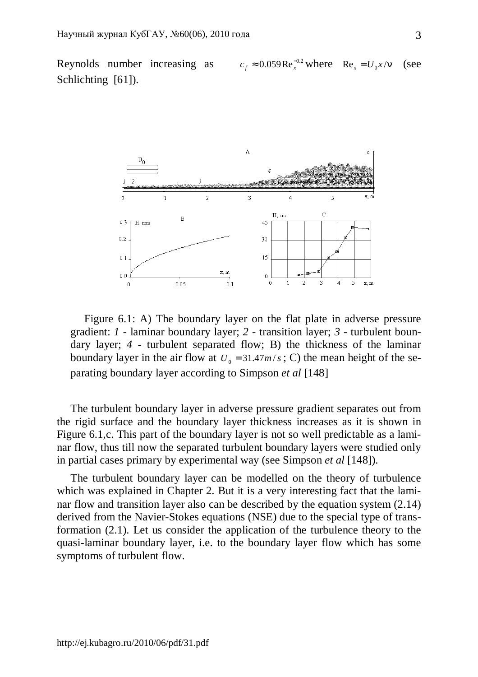Reynolds number increasing as  $c_f \approx 0.059 \text{Re}_x^{-0.2} \text{ where } \text{Re}_x = U_0 x / n \text{ (see)}$ Schlichting [61]).



Figure 6.1: A) The boundary layer on the flat plate in adverse pressure gradient: *1* - laminar boundary layer; *2* - transition layer; *3* - turbulent boundary layer; *4* - turbulent separated flow; B) the thickness of the laminar boundary layer in the air flow at  $U_0 = 31.47m/s$ ; C) the mean height of the separating boundary layer according to Simpson *et al* [148]

The turbulent boundary layer in adverse pressure gradient separates out from the rigid surface and the boundary layer thickness increases as it is shown in Figure 6.1,c. This part of the boundary layer is not so well predictable as a laminar flow, thus till now the separated turbulent boundary layers were studied only in partial cases primary by experimental way (see Simpson *et al* [148]).

The turbulent boundary layer can be modelled on the theory of turbulence which was explained in Chapter 2. But it is a very interesting fact that the laminar flow and transition layer also can be described by the equation system (2.14) derived from the Navier-Stokes equations (NSE) due to the special type of transformation (2.1). Let us consider the application of the turbulence theory to the quasi-laminar boundary layer, i.e. to the boundary layer flow which has some symptoms of turbulent flow.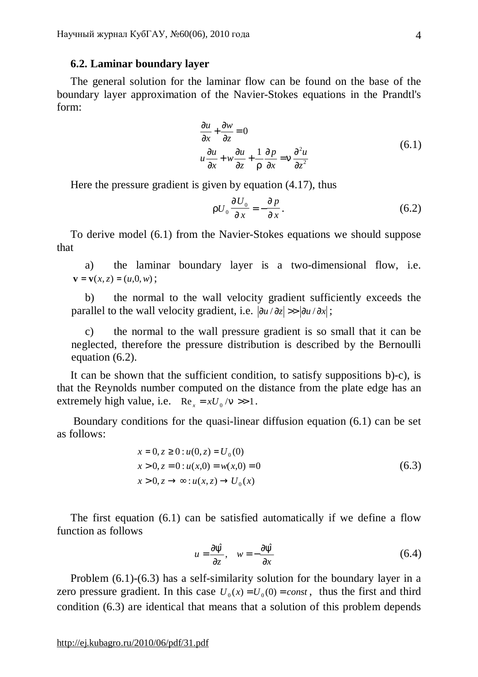## **6.2. Laminar boundary layer**

The general solution for the laminar flow can be found on the base of the boundary layer approximation of the Navier-Stokes equations in the Prandtl's form:

$$
\frac{\partial u}{\partial x} + \frac{\partial w}{\partial z} = 0
$$
\n
$$
u \frac{\partial u}{\partial x} + w \frac{\partial u}{\partial z} + \frac{1}{r} \frac{\partial p}{\partial x} = n \frac{\partial^2 u}{\partial z^2}
$$
\n(6.1)

Here the pressure gradient is given by equation (4.17), thus

$$
rU_0 \frac{\sqrt{qU_0}}{\sqrt{x}} = -\frac{\sqrt{q}p}{\sqrt{x}}.
$$
 (6.2)

To derive model (6.1) from the Navier-Stokes equations we should suppose that

a) the laminar boundary layer is a two-dimensional flow, i.e. **;** 

b) the normal to the wall velocity gradient sufficiently exceeds the parallel to the wall velocity gradient, i.e.  $|\partial u / \partial z|$  >>  $|\partial u / \partial x|$ ;

c) the normal to the wall pressure gradient is so small that it can be neglected, therefore the pressure distribution is described by the Bernoulli equation (6.2).

It can be shown that the sufficient condition, to satisfy suppositions b)-c), is that the Reynolds number computed on the distance from the plate edge has an extremely high value, i.e.  $\text{Re}_{x} = xU_0/n \gg 1$ .

Boundary conditions for the quasi-linear diffusion equation (6.1) can be set as follows:

$$
x = 0, z \ge 0 : u(0, z) = U_0(0)
$$
  
\n
$$
x > 0, z = 0 : u(x, 0) = w(x, 0) = 0
$$
  
\n
$$
x > 0, z \to \infty : u(x, z) \to U_0(x)
$$
\n(6.3)

The first equation (6.1) can be satisfied automatically if we define a flow function as follows

$$
u = \frac{\partial \hat{y}}{\partial z}, \quad w = -\frac{\partial \hat{y}}{\partial x}
$$
(6.4)

Problem (6.1)-(6.3) has a self-similarity solution for the boundary layer in a zero pressure gradient. In this case  $U_0(x) = U_0(0) = const$ , thus the first and third condition (6.3) are identical that means that a solution of this problem depends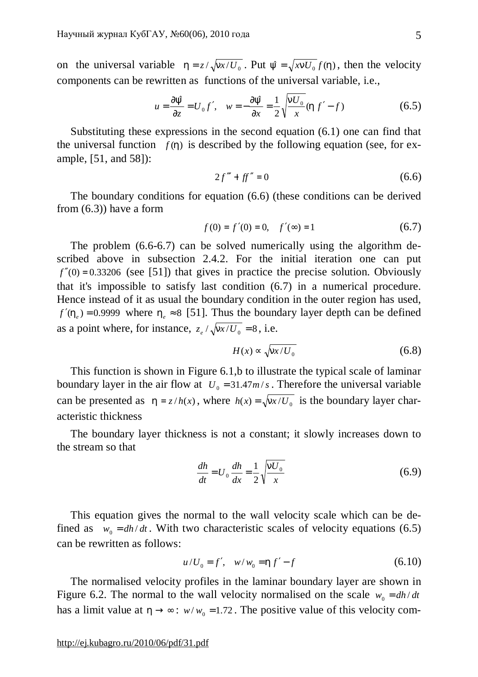on the universal variable  $h = z/\sqrt{mx/U_0}$ . Put  $\hat{y} = \sqrt{xnU_0} f(h)$ , then the velocity components can be rewritten as functions of the universal variable, i.e.,

$$
u = \frac{\partial \hat{y}}{\partial z} = U_0 f', \quad w = -\frac{\partial \hat{y}}{\partial x} = \frac{1}{2} \sqrt{\frac{nU_0}{x}} (hf' - f)
$$
(6.5)

Substituting these expressions in the second equation (6.1) one can find that the universal function  $f(h)$  is described by the following equation (see, for example, [51, and 58]):

$$
2f''' + ff'' = 0 \tag{6.6}
$$

The boundary conditions for equation (6.6) (these conditions can be derived from  $(6.3)$ ) have a form

$$
f(0) = f'(0) = 0, \quad f'(\infty) = 1 \tag{6.7}
$$

The problem (6.6-6.7) can be solved numerically using the algorithm described above in subsection 2.4.2. For the initial iteration one can put  $f''(0) = 0.33206$  (see [51]) that gives in practice the precise solution. Obviously that it's impossible to satisfy last condition (6.7) in a numerical procedure. Hence instead of it as usual the boundary condition in the outer region has used,  $f'(h_e) = 0.9999$  where  $h_e \approx 8$  [51]. Thus the boundary layer depth can be defined as a point where, for instance,  $z_e / \sqrt{\frac{n x}{U_0}} = 8$ , i.e.

$$
H(x) \propto \sqrt{\frac{mx}{U_0}}\tag{6.8}
$$

This function is shown in Figure 6.1,b to illustrate the typical scale of laminar boundary layer in the air flow at  $U_0 = 31.47m/s$ . Therefore the universal variable can be presented as  $h = z/h(x)$ , where  $h(x) = \sqrt{\frac{n x}{U_0}}$  is the boundary layer characteristic thickness

The boundary layer thickness is not a constant; it slowly increases down to the stream so that

$$
\frac{dh}{dt} = U_0 \frac{dh}{dx} = \frac{1}{2} \sqrt{\frac{nU_0}{x}}
$$
(6.9)

This equation gives the normal to the wall velocity scale which can be defined as  $w_0 = dh/dt$ . With two characteristic scales of velocity equations (6.5) can be rewritten as follows:

$$
u/U_0 = f', \quad w/w_0 = hf' - f \tag{6.10}
$$

The normalised velocity profiles in the laminar boundary layer are shown in Figure 6.2. The normal to the wall velocity normalised on the scale  $w_0 = dh/dt$ has a limit value at  $h \rightarrow \infty$ :  $w/w_0 = 1.72$ . The positive value of this velocity com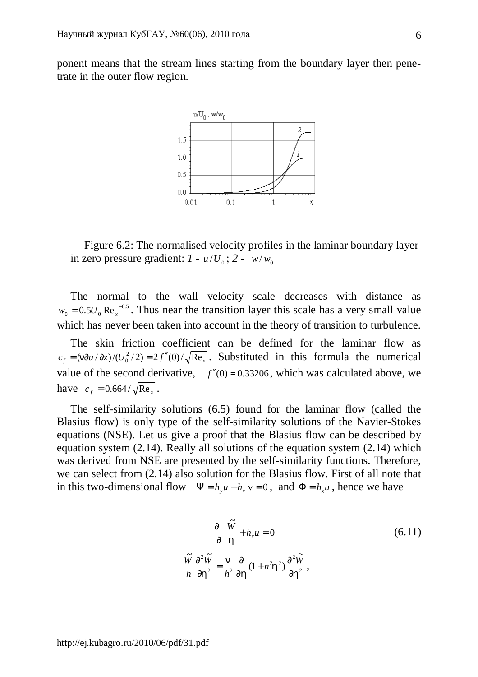ponent means that the stream lines starting from the boundary layer then penetrate in the outer flow region.



Figure 6.2: The normalised velocity profiles in the laminar boundary layer in zero pressure gradient:  $I - u/U_0$ ;  $2 - w/w_0$ 

The normal to the wall velocity scale decreases with distance as 0.5  $w_0 = 0.5 U_0 \text{ Re}_x^{-0.5}$ . Thus near the transition layer this scale has a very small value which has never been taken into account in the theory of transition to turbulence.

The skin friction coefficient can be defined for the laminar flow as  $c_f = \frac{m\partial u}{\partial z}$ /(*U*<sub>0</sub><sup>2</sup>/2) = 2*f*<sup>\*</sup>(0)/ $\sqrt{\text{Re}_x}$ . Substituted in this formula the numerical value of the second derivative,  $f''(0) = 0.33206$ , which was calculated above, we have  $c_f = 0.664 / \sqrt{\text{Re}_x}$ .

The self-similarity solutions (6.5) found for the laminar flow (called the Blasius flow) is only type of the self-similarity solutions of the Navier-Stokes equations (NSE). Let us give a proof that the Blasius flow can be described by equation system (2.14). Really all solutions of the equation system (2.14) which was derived from NSE are presented by the self-similarity functions. Therefore, we can select from (2.14) also solution for the Blasius flow. First of all note that in this two-dimensional flow  $\Psi = h_y u - h_x v = 0$ , and  $\Phi = h_x u$ , hence we have

$$
\frac{\sqrt{\pi} \widetilde{W}}{n} + h_x u = 0
$$
\n
$$
\frac{\widetilde{W}}{n} \frac{\partial^2 \widetilde{W}}{\partial h^2} = \frac{n}{h^2} \frac{\partial}{\partial h} (1 + n^2 h^2) \frac{\partial^2 \widetilde{W}}{\partial h^2},
$$
\n(6.11)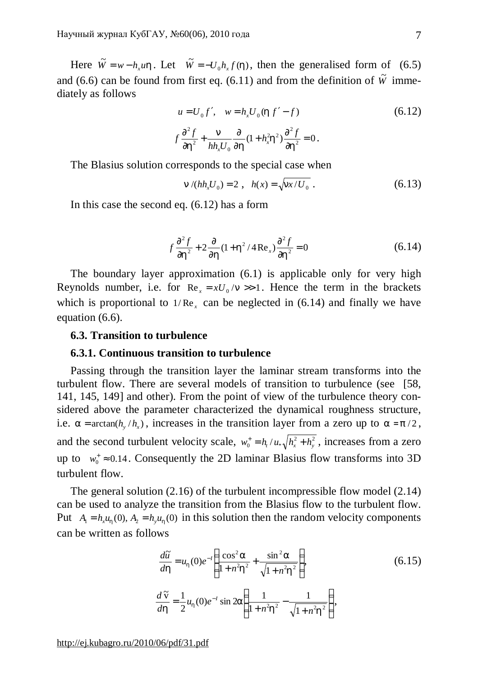Here  $\tilde{W} = w - h_x u h$ . Let  $\tilde{W} = -U_0 h_x f(h)$ , then the generalised form of (6.5) and (6.6) can be found from first eq. (6.11) and from the definition of  $\tilde{W}$  immediately as follows

$$
u = U_0 f', \quad w = h_x U_0 (h f' - f)
$$
\n
$$
f \frac{\partial^2 f}{\partial h^2} + \frac{n}{h h_x U_0} \frac{\partial}{\partial h} (1 + h_x^2 h^2) \frac{\partial^2 f}{\partial h^2} = 0.
$$
\n(6.12)

The Blasius solution corresponds to the special case when

$$
n/(hh_x U_0) = 2 \ , \ \ h(x) = \sqrt{\frac{nx}{U_0}} \ . \tag{6.13}
$$

In this case the second eq. (6.12) has a form

$$
f\frac{\partial^2 f}{\partial h^2} + 2\frac{\partial}{\partial h}(1 + h^2/4 \operatorname{Re}_x)\frac{\partial^2 f}{\partial h^2} = 0
$$
 (6.14)

The boundary layer approximation (6.1) is applicable only for very high Reynolds number, i.e. for  $\text{Re}_{x} = xU_0/n \gg 1$ . Hence the term in the brackets which is proportional to  $1/Re<sub>x</sub>$  can be neglected in (6.14) and finally we have equation (6.6).

### **6.3. Transition to turbulence**

### **6.3.1. Continuous transition to turbulence**

Passing through the transition layer the laminar stream transforms into the turbulent flow. There are several models of transition to turbulence (see [58, 141, 145, 149] and other). From the point of view of the turbulence theory considered above the parameter characterized the dynamical roughness structure, i.e.  $a = \arctan(h_y/h_x)$ , increases in the transition layer from a zero up to  $a = p/2$ , and the second turbulent velocity scale,  $w_0^+ = h_t / u_{*x} / h_x^2 + h_y^2$  $w_0^+ = h_t / u_* \sqrt{h_x^2 + h_y^2}$ , increases from a zero up to  $w_0^+ \approx 0.14$ . Consequently the 2D laminar Blasius flow transforms into 3D turbulent flow.

The general solution (2.16) of the turbulent incompressible flow model (2.14) can be used to analyze the transition from the Blasius flow to the turbulent flow. Put  $A_1 = h_x u_h(0)$ ,  $A_2 = h_y u_h(0)$  in this solution then the random velocity components can be written as follows

$$
\frac{d\tilde{u}}{dh} = u_h(0)e^{-t} \left( \frac{\cos^2 a}{1 + n^2 h^2} + \frac{\sin^2 a}{\sqrt{1 + n^2 h^2}} \right),
$$
\n(6.15)\n
$$
\frac{d\tilde{v}}{dh} = \frac{1}{2} u_h(0)e^{-t} \sin 2a \left( \frac{1}{1 + n^2 h^2} - \frac{1}{\sqrt{1 + n^2 h^2}} \right),
$$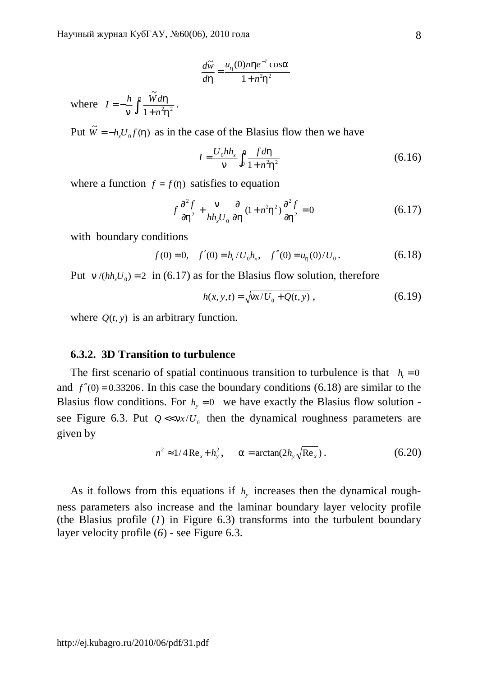$$
\frac{d\widetilde{w}}{dh} = \frac{u_h(0)nh e^{-l}\cos a}{1 + n^2h^2}
$$

where  $I = -\frac{n}{n} \int_1^{\infty} \frac{W}{1 + \frac{1}{n}}$  $=-\frac{h}{h}$ *h h*  $n^{\mathrm{J}}$   $1 + n^2 h^2$ ~<br>\*\* *n*  $I = -\frac{h}{\hbar} \int_0^h \frac{W dh}{\hbar^2}$ 

Put  $\widetilde{W} = -h_x U_0 f(h)$  as in the case of the Blasius flow then we have

$$
I = \frac{U_0 h h_x}{n} \int_0^h \frac{f \, dh}{1 + n^2 h^2} \tag{6.16}
$$

where a function  $f = f(h)$  satisfies to equation

$$
f\frac{\partial^2 f}{\partial h^2} + \frac{n}{hh_x U_0} \frac{\partial}{\partial h} (1 + n^2 h^2) \frac{\partial^2 f}{\partial h^2} = 0
$$
 (6.17)

with boundary conditions

$$
f(0) = 0
$$
,  $f'(0) = h_t/U_0 h_x$ ,  $f''(0) = u_h(0)/U_0$ . (6.18)

Put  $n/(hh<sub>v</sub>U<sub>0</sub>) = 2$  in (6.17) as for the Blasius flow solution, therefore

$$
h(x, y, t) = \sqrt{\frac{nx}{U_0 + Q(t, y)}},
$$
\n(6.19)

where  $Q(t, y)$  is an arbitrary function.

## **6.3.2. 3D Transition to turbulence**

The first scenario of spatial continuous transition to turbulence is that  $h_t = 0$ and  $f''(0) = 0.33206$ . In this case the boundary conditions (6.18) are similar to the Blasius flow conditions. For  $h<sub>y</sub> = 0$  we have exactly the Blasius flow solution see Figure 6.3. Put  $Q \ll nx/U_0$  then the dynamical roughness parameters are given by

$$
n^{2} \approx 1/4 \operatorname{Re}_{x} + h_{y}^{2}, \qquad a = \arctan(2h_{y} \sqrt{\operatorname{Re}_{x}}). \tag{6.20}
$$

As it follows from this equations if  $h<sub>y</sub>$  increases then the dynamical roughness parameters also increase and the laminar boundary layer velocity profile (the Blasius profile (*1*) in Figure 6.3) transforms into the turbulent boundary layer velocity profile (*6*) - see Figure 6.3.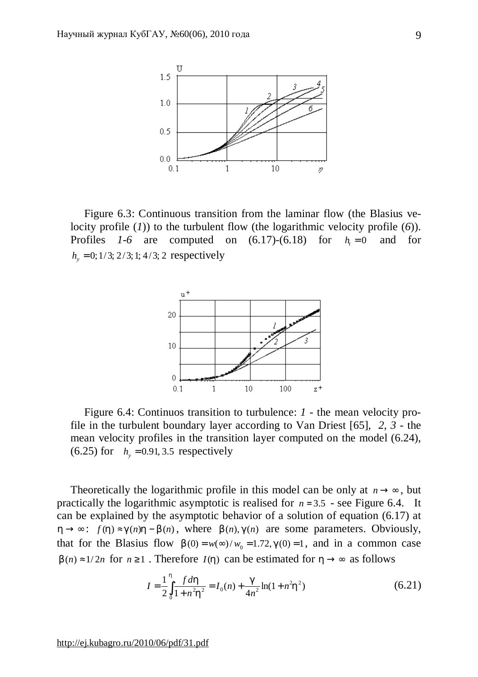

Figure 6.3: Continuous transition from the laminar flow (the Blasius velocity profile (*1*)) to the turbulent flow (the logarithmic velocity profile (*6*)). Profiles  $1-6$  are computed on  $(6.17)-(6.18)$  for  $h = 0$  and for  $h<sub>v</sub> = 0$ ; 1/3; 2/3; 1; 4/3; 2 respectively



Figure 6.4: Continuos transition to turbulence: *1 -* the mean velocity profile in the turbulent boundary layer according to Van Driest [65], *2, 3 -* the mean velocity profiles in the transition layer computed on the model (6.24), (6.25) for  $h_y = 0.91, 3.5$  respectively

Theoretically the logarithmic profile in this model can be only at  $n \rightarrow \infty$ , but practically the logarithmic asymptotic is realised for  $n = 3.5$  - see Figure 6.4. It can be explained by the asymptotic behavior of a solution of equation (6.17) at *h* → ∞:  $f(h) \approx g(n)h - b(n)$ , where  $b(n), g(n)$  are some parameters. Obviously, that for the Blasius flow  $b(0) = w(\infty) / w_0 = 1.72$ ,  $g(0) = 1$ , and in a common case *b*(*n*) ≈1/2*n* for *n* ≥1. Therefore *I*(*h*) can be estimated for *h* → ∞ as follows

$$
I = \frac{1}{2} \int_{0}^{h} \frac{fdh}{1 + n^2 h^2} = I_0(n) + \frac{g}{4n^2} \ln(1 + n^2 h^2)
$$
 (6.21)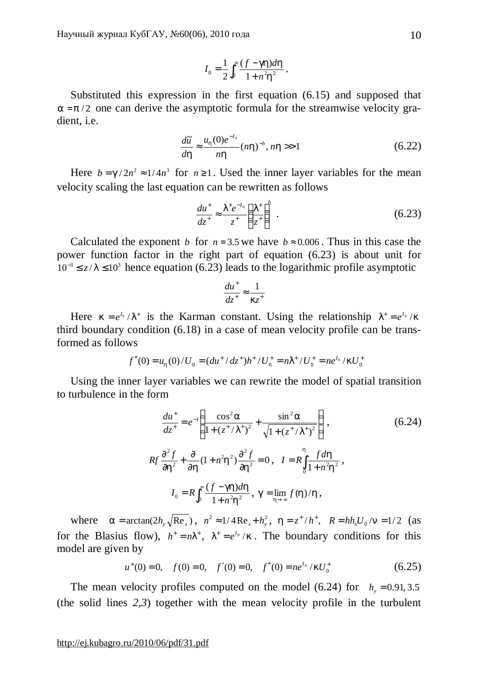$$
I_0 = \frac{1}{2} \int_0^\infty \frac{(f - gh)dh}{1 + n^2 h^2} \, .
$$

Substituted this expression in the first equation (6.15) and supposed that  $a = p/2$  one can derive the asymptotic formula for the streamwise velocity gradient, i.e.

$$
\frac{d\widetilde{u}}{dh} \approx \frac{u_h(0)e^{-l_0}}{nh}(nh)^{-b}, nh>>1
$$
 (6.22)

Here  $b = g/2n^2 \approx 1/4n^3$  for  $n \ge 1$ . Used the inner layer variables for the mean velocity scaling the last equation can be rewritten as follows

$$
\frac{du^+}{dz^+} \approx \frac{I^+e^{-I_0}}{z^+} \left(\frac{I^+}{z^+}\right)^b \ . \tag{6.23}
$$

Calculated the exponent *b* for  $n = 3.5$  we have  $b \approx 0.006$ . Thus in this case the power function factor in the right part of equation (6.23) is about unit for  $10^{-3} \le z/l \le 10^{3}$  hence equation (6.23) leads to the logarithmic profile asymptotic

$$
\frac{du^+}{dz^+} \approx \frac{1}{kz^+}
$$

Here  $k = e^{I_0}/I^+$  is the Karman constant. Using the relationship  $I^+ = e^{I_0}/k$ third boundary condition (6.18) in a case of mean velocity profile can be transformed as follows

$$
f''(0) = u_h(0) / U_0 = (du^+ / dz^+)h^+ / U_0^+ = nI^+ / U_0^+ = ne^{I_0} / kU_0^+
$$

Using the inner layer variables we can rewrite the model of spatial transition to turbulence in the form

$$
\frac{du^{+}}{dz^{+}} = e^{-l} \left( \frac{\cos^{2} a}{1 + (z^{+}/I^{+})^{2}} + \frac{\sin^{2} a}{\sqrt{1 + (z^{+}/I^{+})^{2}}} \right),
$$
\n
$$
Rf \frac{\partial^{2} f}{\partial h^{2}} + \frac{\partial}{\partial h} (1 + n^{2}h^{2}) \frac{\partial^{2} f}{\partial h^{2}} = 0, \quad I = R \int_{0}^{h} \frac{f \, dh}{1 + n^{2}h^{2}},
$$
\n
$$
I_{0} = R \int_{0}^{\infty} \frac{(f - gh) \, dh}{1 + n^{2}h^{2}}, \quad g = \lim_{h \to \infty} f(h) / h,
$$
\n(6.24)

where  $a = \arctan(2h_y \sqrt{Re_x})$ ,  $n^2 \approx 1/4 Re_x + h_y^2$ ,  $h = z^2/h^2$ ,  $R = hh_x U_0 / n = 1/2$  (as for the Blasius flow),  $h^+ = nI^+$ ,  $I^+ = e^{I_0}/k$ . The boundary conditions for this model are given by

> $u^+(0) = 0$ ,  $f(0) = 0$ ,  $f'(0) = 0$ ,  $f''(0) = ne^{l_0}/kU_0^+$  $(6.25)$

The mean velocity profiles computed on the model (6.24) for  $h_y = 0.91, 3.5$ (the solid lines *2,3*) together with the mean velocity profile in the turbulent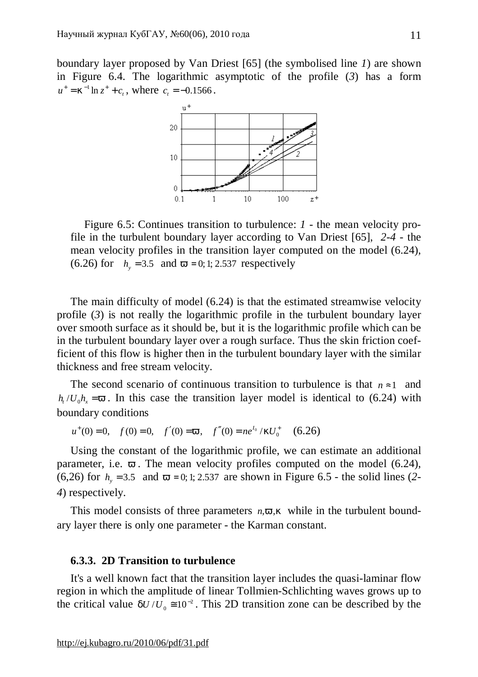boundary layer proposed by Van Driest [65] (the symbolised line *1*) are shown in Figure 6.4. The logarithmic asymptotic of the profile (*3*) has a form  $u^+ = k^{-1} \ln z^+ + c_t$ , where  $c_t = -0.1566$ .



Figure 6.5: Continues transition to turbulence: *1 -* the mean velocity profile in the turbulent boundary layer according to Van Driest [65], *2-4 -* the mean velocity profiles in the transition layer computed on the model (6.24), (6.26) for  $h_y = 3.5$  and  $v = 0; 1; 2.537$  respectively

The main difficulty of model (6.24) is that the estimated streamwise velocity profile (*3*) is not really the logarithmic profile in the turbulent boundary layer over smooth surface as it should be, but it is the logarithmic profile which can be in the turbulent boundary layer over a rough surface. Thus the skin friction coefficient of this flow is higher then in the turbulent boundary layer with the similar thickness and free stream velocity.

The second scenario of continuous transition to turbulence is that  $n \approx 1$  and  $h_t$  /*U*<sub>0</sub> $h_x$  = *v*. In this case the transition layer model is identical to (6.24) with boundary conditions

$$
u^+(0) = 0
$$
,  $f(0) = 0$ ,  $f'(0) = v$ ,  $f''(0) = ne^{l_0}/kU_0^+$  (6.26)

Using the constant of the logarithmic profile, we can estimate an additional parameter, i.e. *v* . The mean velocity profiles computed on the model (6.24), (6,26) for  $h_v = 3.5$  and  $v = 0; 1; 2.537$  are shown in Figure 6.5 - the solid lines (2-*4*) respectively.

This model consists of three parameters  $n$ , $v$ , $k$  while in the turbulent boundary layer there is only one parameter - the Karman constant.

# **6.3.3. 2D Transition to turbulence**

It's a well known fact that the transition layer includes the quasi-laminar flow region in which the amplitude of linear Tollmien-Schlichting waves grows up to the critical value  $dU/U_0 \approx 10^{-2}$ . This 2D transition zone can be described by the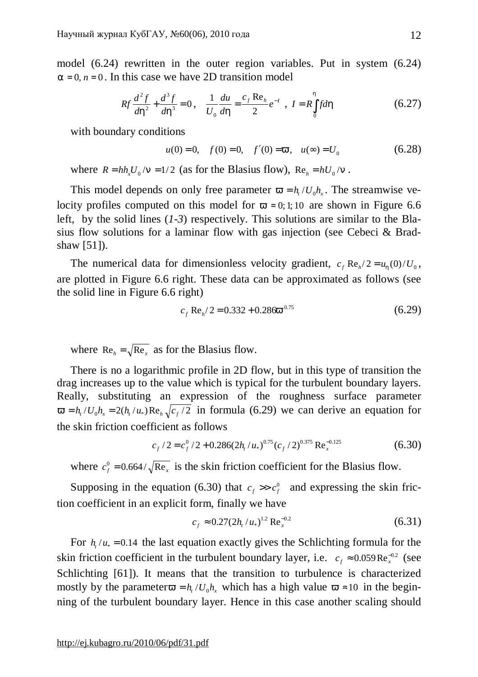model (6.24) rewritten in the outer region variables. Put in system (6.24)  $a = 0, n = 0$ . In this case we have 2D transition model

$$
Rf\frac{d^2f}{dh^2} + \frac{d^3f}{dh^3} = 0\,,\quad \frac{1}{U_0}\frac{du}{dh} = \frac{c_f \text{Re}_h}{2}e^{-I}\,,\ I = R\int_0^h f d\,
$$

with boundary conditions

$$
u(0) = 0
$$
,  $f(0) = 0$ ,  $f'(0) = v$ ,  $u(\infty) = U_0$  (6.28)

where  $R = hh_xU_0/n = 1/2$  (as for the Blasius flow),  $Re_h = hU_0/n$ .

This model depends on only free parameter  $v = h_t/U_0 h_x$ . The streamwise velocity profiles computed on this model for  $v = 0; 1; 10$  are shown in Figure 6.6 left, by the solid lines (*1-3*) respectively. This solutions are similar to the Blasius flow solutions for a laminar flow with gas injection (see Cebeci & Bradshaw [51]).

The numerical data for dimensionless velocity gradient,  $c_f \text{Re}_h/2 = u_h(0)/U_0$ , are plotted in Figure 6.6 right. These data can be approximated as follows (see the solid line in Figure 6.6 right)

$$
c_f \operatorname{Re}_h/2 = 0.332 + 0.286v^{0.75} \tag{6.29}
$$

where  $Re_h = \sqrt{Re_x}$  as for the Blasius flow.

There is no a logarithmic profile in 2D flow, but in this type of transition the drag increases up to the value which is typical for the turbulent boundary layers. Really, substituting an expression of the roughness surface parameter  $v = h_t / U_0 h_x = 2(h_t / u_*) \text{Re}_h \sqrt{c_f / 2}$  in formula (6.29) we can derive an equation for the skin friction coefficient as follows

$$
c_f / 2 = c_f^0 / 2 + 0.286(2h_t / u_*)^{0.75} (c_f / 2)^{0.375} \text{Re}_x^{-0.125}
$$
 (6.30)

where  $c_f^0 = 0.664/\sqrt{\text{Re}_x}$  is the skin friction coefficient for the Blasius flow.

Supposing in the equation (6.30) that  $c_f \gg c_f^0$  and expressing the skin friction coefficient in an explicit form, finally we have

$$
c_f \approx 0.27(2h_t/u_*)^{1.2} \text{Re}_x^{-0.2}
$$
 (6.31)

For  $h/ u_* = 0.14$  the last equation exactly gives the Schlichting formula for the skin friction coefficient in the turbulent boundary layer, i.e.  $c_f \approx 0.059 \text{Re}_x^{-0.2}$  (see Schlichting [61]). It means that the transition to turbulence is characterized mostly by the parameter  $v = h_t/U_0 h_x$  which has a high value  $v \approx 10$  in the beginning of the turbulent boundary layer. Hence in this case another scaling should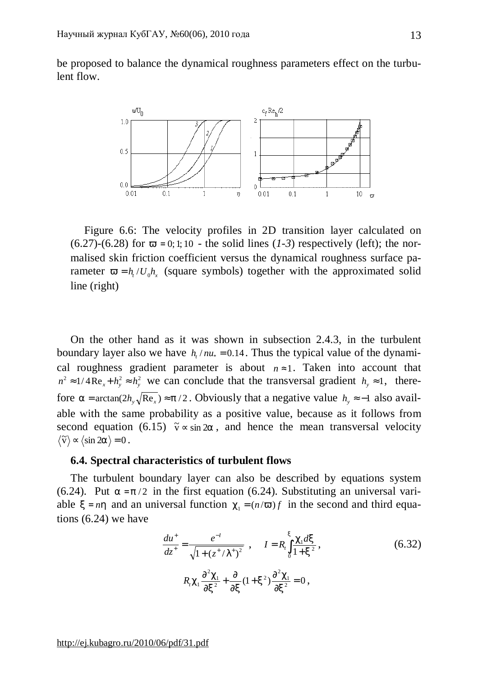be proposed to balance the dynamical roughness parameters effect on the turbulent flow.



Figure 6.6: The velocity profiles in 2D transition layer calculated on  $(6.27)-(6.28)$  for  $v = 0; 1; 10$  - the solid lines  $(1-3)$  respectively (left); the normalised skin friction coefficient versus the dynamical roughness surface parameter  $v = h_t / U_0 h_x$  (square symbols) together with the approximated solid line (right)

On the other hand as it was shown in subsection 2.4.3, in the turbulent boundary layer also we have  $h_t / nu_* = 0.14$ . Thus the typical value of the dynamical roughness gradient parameter is about  $n \approx 1$ . Taken into account that  $n^2 \approx 1/4 \text{Re}_x + h_y^2 \approx h_y^2$  we can conclude that the transversal gradient  $h_y \approx 1$ , therefore  $a = \arctan(2h_y \sqrt{\text{Re}_x}) \approx p/2$ . Obviously that a negative value  $h_y \approx -1$  also available with the same probability as a positive value, because as it follows from second equation (6.15)  $\tilde{v} \propto \sin 2a$ , and hence the mean transversal velocity  $\widetilde{\mathbf{v}} \rangle \sim \langle \sin 2\mathbf{a} \rangle = 0$ .

# **6.4. Spectral characteristics of turbulent flows**

The turbulent boundary layer can also be described by equations system (6.24). Put  $a = p/2$  in the first equation (6.24). Substituting an universal variable  $x = nh$  and an universal function  $c_1 = (n/v)f$  in the second and third equations (6.24) we have

$$
\frac{du^{+}}{dz^{+}} = \frac{e^{-I}}{\sqrt{1 + (z^{+}/I^{+})^{2}}}, \qquad I = R_{i} \int_{0}^{x} \frac{c_{1} dx}{1 + x^{2}},
$$
\n
$$
R_{i} c_{1} \frac{\partial^{2} c_{1}}{\partial x^{2}} + \frac{\partial}{\partial x} (1 + x^{2}) \frac{\partial^{2} c_{1}}{\partial x^{2}} = 0,
$$
\n(6.32)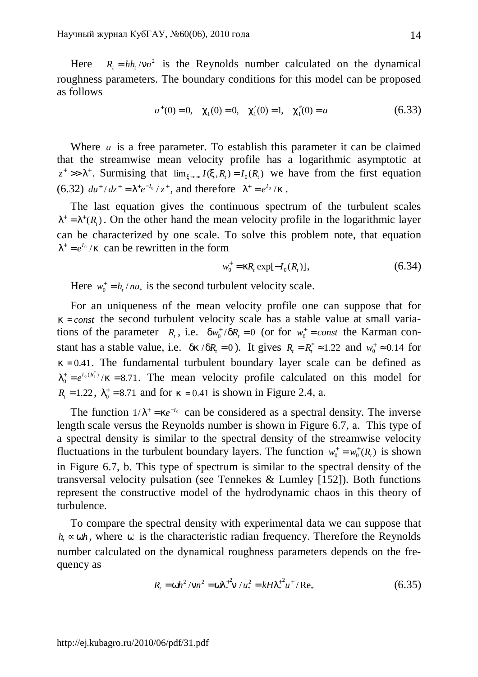Here  $R_1 = h h_1 / m^2$  is the Reynolds number calculated on the dynamical roughness parameters. The boundary conditions for this model can be proposed as follows

$$
u^+(0) = 0
$$
,  $c_1(0) = 0$ ,  $c'_1(0) = 1$ ,  $c''_1(0) = a$  (6.33)

Where *a* is a free parameter. To establish this parameter it can be claimed that the streamwise mean velocity profile has a logarithmic asymptotic at  $z^+ >> I^+$ . Surmising that  $\lim_{x \to \infty} I(x, R_t) = I_0(R_t)$  we have from the first equation (6.32)  $du^+/dz^+ = I^+e^{-I_0}/z^+$ , and therefore  $I^+ = e^{I_0}/k$ .

The last equation gives the continuous spectrum of the turbulent scales  $I^+ = I^+(R_t)$ . On the other hand the mean velocity profile in the logarithmic layer can be characterized by one scale. To solve this problem note, that equation  $I^+ = e^{I_0}/k$  can be rewritten in the form

$$
w_0^+ = kR_t \exp[-I_0(R_t)], \qquad (6.34)
$$

Here  $w_0^+ = h_t / n u_*$  is the second turbulent velocity scale.

For an uniqueness of the mean velocity profile one can suppose that for  $k = const$  the second turbulent velocity scale has a stable value at small variations of the parameter  $R_t$ , i.e.  $dw_0^+/dR_t = 0$  (or for  $w_0^+ = const$  the Karman constant has a stable value, i.e.  $dk/dR_t = 0$ ). It gives  $R_t = R_t^* \approx 1.22$  and  $w_0^* \approx 0.14$  for  $k = 0.41$ . The fundamental turbulent boundary layer scale can be defined as  $e^{t} = e^{I_0(R_t^*)}/k = 8.71$  $I_0^+ = e^{I_0(R_t^*)}/k = 8.71$ . The mean velocity profile calculated on this model for  $R_1 = 1.22$ ,  $I_0^+ = 8.71$  and for  $k = 0.41$  is shown in Figure 2.4, a.

The function  $1/I^+ = ke^{-t_0}$  can be considered as a spectral density. The inverse length scale versus the Reynolds number is shown in Figure 6.7, a. This type of a spectral density is similar to the spectral density of the streamwise velocity fluctuations in the turbulent boundary layers. The function  $w_0^+ = w_0^+(R_t)$  is shown in Figure 6.7, b. This type of spectrum is similar to the spectral density of the transversal velocity pulsation (see Tennekes & Lumley [152]). Both functions represent the constructive model of the hydrodynamic chaos in this theory of turbulence.

To compare the spectral density with experimental data we can suppose that  $h \sim w h$ , where *w* is the characteristic radian frequency. Therefore the Reynolds number calculated on the dynamical roughness parameters depends on the frequency as

$$
R_t = wh^2 / nn^2 = wI_*^{+2}n / u_*^2 = kHI_*^{+2}u^+ / \text{Re}_*
$$
\n(6.35)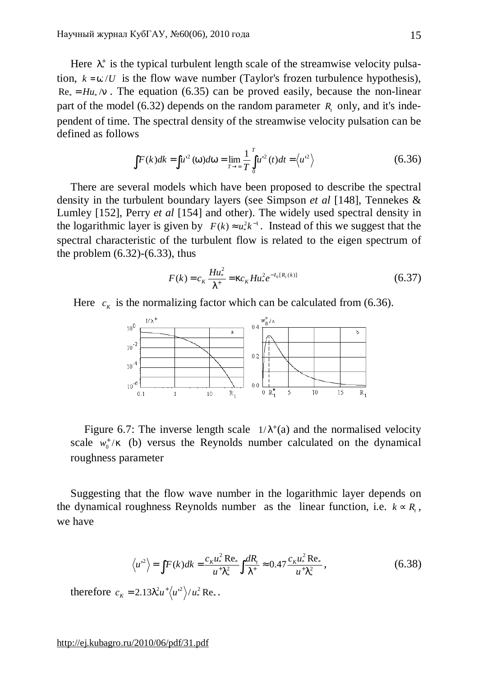Here  $I^*$  is the typical turbulent length scale of the streamwise velocity pulsation,  $k = w/U$  is the flow wave number (Taylor's frozen turbulence hypothesis),  $Re_* = H u_*/n$ . The equation (6.35) can be proved easily, because the non-linear part of the model (6.32) depends on the random parameter *R<sup>t</sup>* only, and it's independent of time. The spectral density of the streamwise velocity pulsation can be defined as follows

$$
\int F(k)dk = \int u^{2}(w)dw = \lim_{T \to \infty} \frac{1}{T} \int_{0}^{T} u^{2}(t)dt = \langle u^{2} \rangle
$$
 (6.36)

There are several models which have been proposed to describe the spectral density in the turbulent boundary layers (see Simpson *et al* [148], Tennekes & Lumley [152], Perry *et al* [154] and other). The widely used spectral density in the logarithmic layer is given by  $F(k) \approx u_*^2 k^{-1}$  $F(k) \approx u_*^2 k^{-1}$ . Instead of this we suggest that the spectral characteristic of the turbulent flow is related to the eigen spectrum of the problem  $(6.32)$ - $(6.33)$ , thus

$$
F(k) = c_K \frac{H u_*^2}{I^+} = k c_K H u_*^2 e^{-I_0[R_t(k)]}
$$
\n(6.37)

Here 
$$
c_{k}
$$
 is the normalizing factor which can be calculated from (6.36).



Figure 6.7: The inverse length scale  $1/I^+(a)$  and the normalised velocity scale  $w_0^+/k$  (b) versus the Reynolds number calculated on the dynamical roughness parameter

Suggesting that the flow wave number in the logarithmic layer depends on the dynamical roughness Reynolds number as the linear function, i.e.  $k \propto R_t$ , we have

$$
\langle u^2 \rangle = \int F(k)dk = \frac{c_K u_*^2 \operatorname{Re}_*}{u^+ l_*^2} \int \frac{dR_t}{l^+} \approx 0.47 \frac{c_K u_*^2 \operatorname{Re}_*}{u^+ l_*^2},\tag{6.38}
$$

therefore  $c_k = 2.13 I_*^2 u^+ \langle u^2 \rangle / u_*^2 \text{Re}_*$ \*  $c_K = 2.13 I_*^2 u^+ \langle u^2 \rangle / u_*^2 \text{Re}_*.$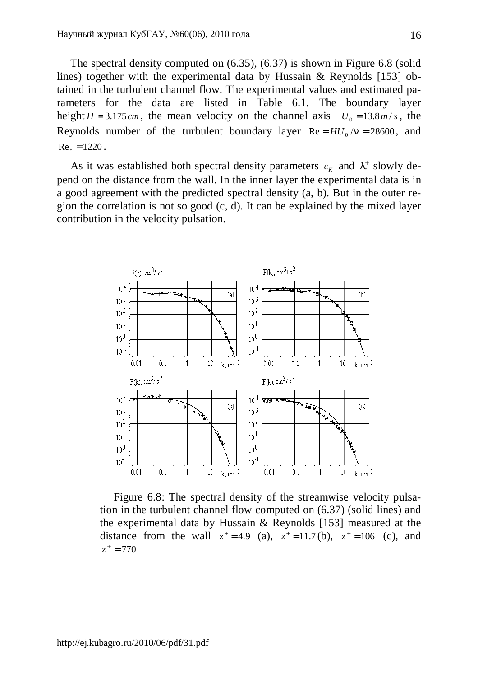The spectral density computed on (6.35), (6.37) is shown in Figure 6.8 (solid lines) together with the experimental data by Hussain & Reynolds [153] obtained in the turbulent channel flow. The experimental values and estimated parameters for the data are listed in Table 6.1. The boundary layer height  $H = 3.175$ *cm*, the mean velocity on the channel axis  $U_0 = 13.8$ *m/s*, the Reynolds number of the turbulent boundary layer  $Re = H U_0 / n = 28600$ , and  $Re_{*} = 1220$ .

As it was established both spectral density parameters  $c_K$  and  $I^*$  slowly depend on the distance from the wall. In the inner layer the experimental data is in a good agreement with the predicted spectral density (a, b). But in the outer region the correlation is not so good (c, d). It can be explained by the mixed layer contribution in the velocity pulsation.



Figure 6.8: The spectral density of the streamwise velocity pulsation in the turbulent channel flow computed on (6.37) (solid lines) and the experimental data by Hussain & Reynolds [153] measured at the distance from the wall  $z^+ = 4.9$  (a),  $z^+ = 11.7$  (b),  $z^+ = 106$  (c), and  $z^+ = 770$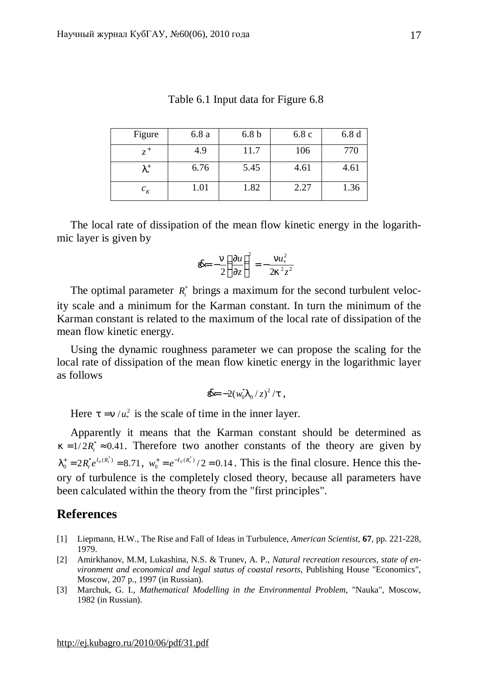| Figure     | 6.8a | 6.8 <sub>b</sub> | 6.8c | 6.8d |
|------------|------|------------------|------|------|
| $7^+$      | 4.9  | 11.7             | 106  | 770  |
| 1+<br>$1*$ | 6.76 | 5.45             | 4.61 | 4.61 |
| $c_{K}$    | 1.01 | 1.82             | 2.27 | 1.36 |

The local rate of dissipation of the mean flow kinetic energy in the logarithmic layer is given by

$$
\mathbf{d}x = -\frac{n}{2} \left( \frac{\partial u}{\partial z} \right)^2 = -\frac{n u_*^2}{2k^2 z^2}
$$

The optimal parameter  $R^*$  brings a maximum for the second turbulent velocity scale and a minimum for the Karman constant. In turn the minimum of the Karman constant is related to the maximum of the local rate of dissipation of the mean flow kinetic energy.

Using the dynamic roughness parameter we can propose the scaling for the local rate of dissipation of the mean flow kinetic energy in the logarithmic layer as follows

**&**=
$$
-2(w_0^*I_0/z)^2/t
$$
,

Here  $t = n / u_*^2$  is the scale of time in the inner layer.

Apparently it means that the Karman constant should be determined as  $k = 1/2R_t^* \approx 0.41$ . Therefore two another constants of the theory are given by  $n_0^+ = 2R_t^* e^{I_0(R_t^*)} = 8.71$  $I_0^+ = 2R_t^* e^{I_0(R_t^*)} = 8.71$ ,  $w_0^+ = e^{-I_0(R_t^*)}/2 = 0.14$  $w_0^+ = e^{-I_0(R_t^*)}/2 = 0.14$ . This is the final closure. Hence this theory of turbulence is the completely closed theory, because all parameters have been calculated within the theory from the "first principles".

# **References**

- [1] Liepmann, H.W., The Rise and Fall of Ideas in Turbulence, *American Scientist*, **67**, pp. 221-228, 1979.
- [2] Amirkhanov, M.M, Lukashina, N.S. & Trunev, A. P., *Natural recreation resources, state of environment and economical and legal status of coastal resorts*, Publishing House "Economics", Moscow, 207 p., 1997 (in Russian).
- [3] Marchuk, G. I., *Mathematical Modelling in the Environmental Problem*, "Nauka", Moscow, 1982 (in Russian).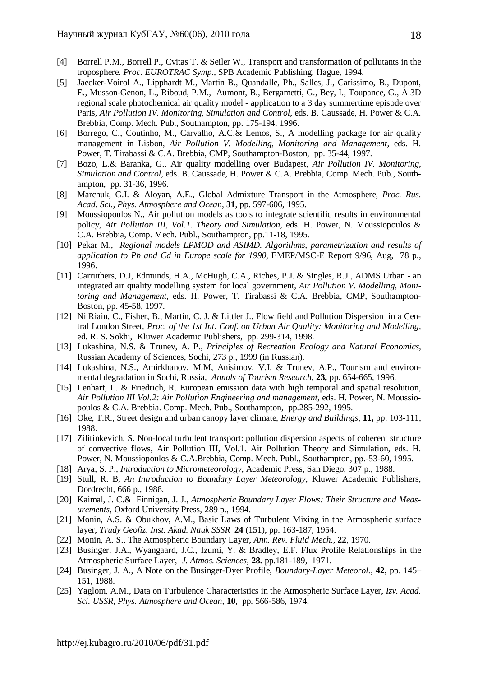- [4] Borrell P.M., Borrell P., Cvitas T. & Seiler W., Transport and transformation of pollutants in the troposphere. *Proc. EUROTRAC Symp.*, SPB Academic Publishing, Hague, 1994.
- [5] Jaecker-Voirol A., Lipphardt M., Martin B., Quandalle, Ph., Salles, J., Carissimo, B., Dupont, E., Musson-Genon, L., Riboud, P.M., Aumont, B., Bergametti, G., Bey, I., Toupance, G., A 3D regional scale photochemical air quality model - application to a 3 day summertime episode over Paris*, Air Pollution IV. Monitoring, Simulation and Control,* eds. B. Caussade, H. Power & C.A. Brebbia, Comp. Mech. Pub., Southampton, pp. 175-194, 1996.
- [6] Borrego, C., Coutinho, M., Carvalho, A.C.& Lemos, S., A modelling package for air quality management in Lisbon, *Air Pollution V. Modelling, Monitoring and Management,* eds. H. Power, T. Tirabassi & C.A. Brebbia, CMP, Southampton-Boston, pp. 35-44, 1997.
- [7] Bozo, L.& Baranka, G., Air quality modelling over Budapest, *Air Pollution IV. Monitoring, Simulation and Control,* eds. B. Caussade, H. Power & C.A. Brebbia, Comp. Mech. Pub., Southampton, pp. 31-36, 1996.
- [8] Marchuk, G.I. & Aloyan, A.E., Global Admixture Transport in the Atmosphere, *Proc. Rus. Acad. Sci., Phys. Atmosphere and Ocean*, **31**, pp. 597-606, 1995.
- [9] Moussiopoulos N., Air pollution models as tools to integrate scientific results in environmental policy, *Air Pollution III, Vol.1. Theory and Simulation,* eds. H. Power, N. Moussiopoulos & C.A. Brebbia, Comp. Mech. Publ., Southampton, pp.11-18, 1995.
- [10] Pekar M., *Regional models LPMOD and ASIMD. Algorithms, parametrization and results of application to Pb and Cd in Europe scale for 1990*, EMEP/MSC-E Report 9/96, Aug, 78 p., 1996.
- [11] Carruthers, D.J, Edmunds, H.A., McHugh, C.A., Riches, P.J. & Singles, R.J., ADMS Urban an integrated air quality modelling system for local government, *Air Pollution V. Modelling, Monitoring and Management,* eds. H. Power, T. Tirabassi & C.A. Brebbia, CMP, Southampton-Boston, pp. 45-58, 1997.
- [12] Ni Riain, C., Fisher, B., Martin, C. J. & Littler J., Flow field and Pollution Dispersion in a Central London Street, *Proc. of the 1st Int. Conf. on Urban Air Quality: Monitoring and Modelling*, ed. R. S. Sokhi, Kluwer Academic Publishers, pp. 299-314, 1998.
- [13] Lukashina, N.S. & Trunev, A. P., *Principles of Recreation Ecology and Natural Economics,* Russian Academy of Sciences, Sochi, 273 p., 1999 (in Russian).
- [14] Lukashina, N.S., Amirkhanov, M.M, Anisimov, V.I. & Trunev, A.P., Tourism and environmental degradation in Sochi, Russia, *Annals of Tourism Research*, **23,** pp. 654-665, 1996.
- [15] Lenhart, L. & Friedrich, R. European emission data with high temporal and spatial resolution, *Air Pollution III Vol.2: Air Pollution Engineering and management*, eds. H. Power, N. Moussiopoulos & C.A. Brebbia. Comp. Mech. Pub., Southampton, pp.285-292, 1995.
- [16] Oke, T.R., Street design and urban canopy layer climate, *Energy and Buildings,* **11,** pp. 103-111, 1988.
- [17] Zilitinkevich, S. Non-local turbulent transport: pollution dispersion aspects of coherent structure of convective flows, Air Pollution III, Vol.1. Air Pollution Theory and Simulation, eds. H. Power, N. Moussiopoulos & C.A.Brebbia, Comp. Mech. Publ., Southampton, рр.-53-60, 1995.
- [18] Arya, S. P., *Introduction to Micrometeorology*, Academic Press, San Diego, 307 p., 1988.
- [19] Stull, R. B, *An Introduction to Boundary Layer Meteorology*, Kluwer Academic Publishers, Dordrecht, 666 p., 1988.
- [20] Kaimal, J. C.& Finnigan, J. J., *Atmospheric Boundary Layer Flows: Their Structure and Measurements*, Oxford University Press, 289 p., 1994.
- [21] Monin, A.S. & Obukhov, A.M., Basic Laws of Turbulent Mixing in the Atmospheric surface layer, *Trudy Geofiz. Inst. Akad. Nauk SSSR* **24** (151), pp. 163-187, 1954.
- [22] Monin, A. S., The Atmospheric Boundary Layer, *Ann. Rev. Fluid Mech*., **22**, 1970.
- [23] Businger, J.A., Wyangaard, J.C., Izumi, Y. & Bradley, E.F. Flux Profile Relationships in the Atmospheric Surface Layer, *J. Atmos. Sciences*, **28.** pp.181-189, 1971.
- [24] Businger, J. A., A Note on the Businger-Dyer Profile, *Boundary-Layer Meteorol.*, **42,** pp. 145– 151, 1988.
- [25] Yaglom, A.M., Data on Turbulence Characteristics in the Atmospheric Surface Layer, *Izv. Acad. Sci. USSR, Phys. Atmosphere and Ocean,* **10**, pp. 566-586, 1974.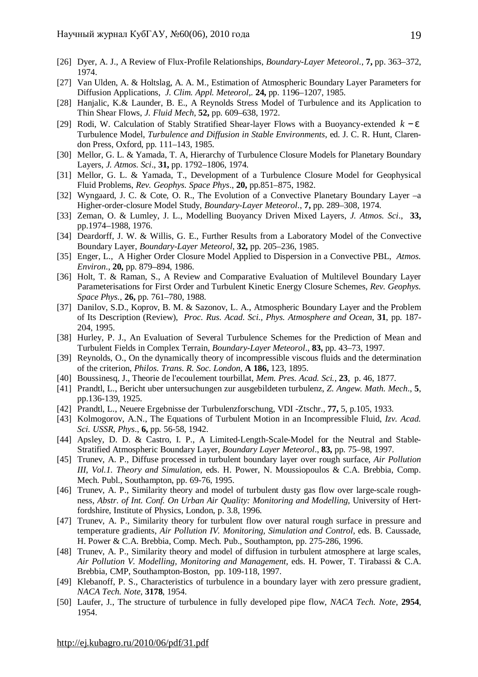- [26] Dyer, A. J., A Review of Flux-Profile Relationships, *Boundary-Layer Meteorol.*, **7,** pp. 363–372, 1974.
- [27] Van Ulden, A. & Holtslag, A. A. M., Estimation of Atmospheric Boundary Layer Parameters for Diffusion Applications, *J. Clim. Appl. Meteorol*,. **24,** pp. 1196–1207, 1985.
- [28] Hanjalic, K.& Launder, B. E., A Reynolds Stress Model of Turbulence and its Application to Thin Shear Flows, *J. Fluid Mech*, **52,** pp. 609–638, 1972.
- [29] Rodi, W. Calculation of Stably Stratified Shear-layer Flows with a Buoyancy-extended *k* − *e* Turbulence Model, *Turbulence and Diffusion in Stable Environments*, ed. J. C. R. Hunt, Clarendon Press, Oxford, pp. 111–143, 1985.
- [30] Mellor, G. L. & Yamada, T. A, Hierarchy of Turbulence Closure Models for Planetary Boundary Layers, *J. Atmos. Sci*., **31,** pp. 1792–1806, 1974.
- [31] Mellor, G. L. & Yamada, T., Development of a Turbulence Closure Model for Geophysical Fluid Problems, *Rev. Geophys. Space Phys*., **20,** pp.851–875, 1982.
- [32] Wyngaard, J. C. & Cote, O. R., The Evolution of a Convective Planetary Boundary Layer –a Higher-order-closure Model Study, *Boundary-Layer Meteorol*., **7,** pp. 289–308, 1974.
- [33] Zeman, O. & Lumley, J. L., Modelling Buoyancy Driven Mixed Layers, *J. Atmos. Sci*., **33,**  pp.1974–1988, 1976.
- [34] Deardorff, J. W. & Willis, G. E., Further Results from a Laboratory Model of the Convective Boundary Layer, *Boundary-Layer Meteorol*, **32,** pp. 205–236, 1985.
- [35] Enger, L., A Higher Order Closure Model Applied to Dispersion in a Convective PBL, *Atmos. Environ*., **20,** pp. 879–894, 1986.
- [36] Holt, T. & Raman, S., A Review and Comparative Evaluation of Multilevel Boundary Layer Parameterisations for First Order and Turbulent Kinetic Energy Closure Schemes, *Rev. Geophys. Space Phys.*, **26,** pp. 761–780, 1988.
- [37] Danilov, S.D., Koprov, B. M. & Sazonov, L. A., Atmospheric Boundary Layer and the Problem of Its Description (Review), *Proc. Rus. Acad. Sci., Phys. Atmosphere and Ocean*, **31**, pp. 187- 204, 1995.
- [38] Hurley, P. J., An Evaluation of Several Turbulence Schemes for the Prediction of Mean and Turbulent Fields in Complex Terrain, *Boundary-Layer Meteorol*., **83,** pp. 43–73, 1997.
- [39] Reynolds, O., On the dynamically theory of incompressible viscous fluids and the determination of the criterion, *Philos. Trans. R. Soc. London*, **A 186,** 123, 1895.
- [40] Boussinesq, J., Theorie de l'ecoulement tourbillat, *Mem. Pres. Acad. Sci.*, **23**, p. 46, 1877.
- [41] Prandtl, L., Bericht uber untersuchungen zur ausgebildeten turbulenz, *Z. Angew. Math. Mech*., **5**, pp.136-139, 1925.
- [42] Prandtl, L., Neuere Ergebnisse der Turbulenzforschung, VDI -Ztschr., **77,** 5, p.105, 1933.
- [43] Kolmogorov, A.N., The Equations of Turbulent Motion in an Incompressible Fluid, *Izv. Acad. Sci. USSR, Phys*., **6,** pp. 56-58, 1942.
- [44] Apsley, D. D. & Castro, I. P., A Limited-Length-Scale-Model for the Neutral and Stable-Stratified Atmospheric Boundary Layer, *Boundary Layer Meteorol*., **83,** pp. 75–98, 1997.
- [45] Trunev, A. P., Diffuse processed in turbulent boundary layer over rough surface, *Air Pollution III, Vol.1. Theory and Simulation,* eds. H. Power, N. Moussiopoulos & C.A. Brebbia, Comp. Mech. Publ., Southampton, pp. 69-76, 1995.
- [46] Trunev, A. P., Similarity theory and model of turbulent dusty gas flow over large-scale roughness, *Abstr. of Int. Conf. On Urban Air Quality: Monitoring and Modelling*, University of Hertfordshire, Institute of Physics, London, p. 3.8, 1996.
- [47] Trunev, A. P., Similarity theory for turbulent flow over natural rough surface in pressure and temperature gradients, *Air Pollution IV. Monitoring, Simulation and Control,* eds. B. Caussade, H. Power & C.A. Brebbia, Comp. Mech. Pub., Southampton, pp. 275-286, 1996.
- [48] Trunev, A. P., Similarity theory and model of diffusion in turbulent atmosphere at large scales, *Air Pollution V. Modelling, Monitoring and Management,* eds. H. Power, T. Tirabassi & C.A. Brebbia, CMP, Southampton-Boston, pp. 109-118, 1997.
- [49] Klebanoff, P. S., Characteristics of turbulence in a boundary layer with zero pressure gradient, *NACA Tech. Note*, **3178**, 1954.
- [50] Laufer, J., The structure of turbulence in fully developed pipe flow, *NACA Tech. Note*, **2954**, 1954.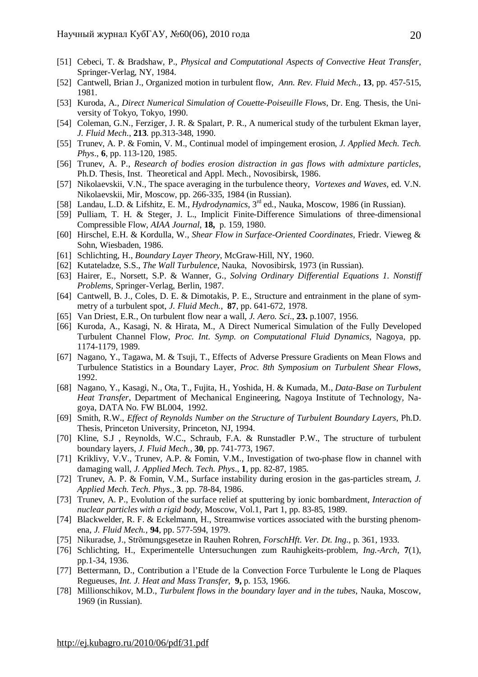- [51] Cebeci, T. & Bradshaw, P., *Physical and Computational Aspects of Convective Heat Transfer*, Springer-Verlag, NY, 1984.
- [52] Cantwell, Brian J., Organized motion in turbulent flow, *Ann. Rev. Fluid Mech*., **13**, pp. 457-515, 1981.
- [53] Kuroda, A., *Direct Numerical Simulation of Couette-Poiseuille Flows*, Dr. Eng. Thesis, the University of Tokyo, Tokyo, 1990.
- [54] Coleman, G.N., Ferziger, J. R. & Spalart, P. R., A numerical study of the turbulent Ekman layer, *J. Fluid Mech*., **213**. pp.313-348, 1990.
- [55] Trunev, A. P. & Fomin, V. M., Continual model of impingement erosion, *J. Applied Mech. Tech. Phys*., **6**, pp. 113-120, 1985.
- [56] Trunev, A. P., *Research of bodies erosion distraction in gas flows with admixture particles*, Ph.D. Thesis, Inst. Theoretical and Appl. Mech., Novosibirsk, 1986.
- [57] Nikolaevskii, V.N., The space averaging in the turbulence theory, *Vortexes and Waves,* ed. V.N. Nikolaevskii, Mir, Moscow, pp. 266-335, 1984 (in Russian).
- [58] Landau, L.D. & Lifshitz, E. M., *Hydrodynamics*, 3rd ed., Nauka, Moscow, 1986 (in Russian).
- [59] Pulliam, T. H. & Steger, J. L., Implicit Finite-Difference Simulations of three-dimensional Compressible Flow, *AIAA Journal*, **18,** p. 159, 1980.
- [60] Hirschel, E.H. & Kordulla, W., *Shear Flow in Surface-Oriented Coordinates*, Friedr. Vieweg & Sohn, Wiesbaden, 1986.
- [61] Schlichting, H., *Boundary Layer Theory*, McGraw-Hill, NY, 1960.
- [62] Kutateladze, S.S., *The Wall Turbulence*, Nauka, Novosibirsk, 1973 (in Russian).
- [63] Hairer, E., Norsett, S.P. & Wanner, G., *Solving Ordinary Differential Equations 1. Nonstiff Problems*, Springer-Verlag, Berlin, 1987.
- [64] Cantwell, B. J., Coles, D. E. & Dimotakis, P. E., Structure and entrainment in the plane of symmetry of a turbulent spot, *J. Fluid Mech.*, **87**, pp. 641-672, 1978.
- [65] Van Driest, E.R., On turbulent flow near a wall, *J. Aero. Sci*., **23.** p.1007, 1956.
- [66] Kuroda, A., Kasagi, N. & Hirata, M., A Direct Numerical Simulation of the Fully Developed Turbulent Channel Flow, *Proc. Int. Symp. on Computational Fluid Dynamics*, Nagoya, pp. 1174-1179, 1989.
- [67] Nagano, Y., Tagawa, M. & Tsuji, T., Effects of Adverse Pressure Gradients on Mean Flows and Turbulence Statistics in a Boundary Layer, *Proc. 8th Symposium on Turbulent Shear Flows*, 1992.
- [68] Nagano, Y., Kasagi, N., Ota, T., Fujita, H., Yoshida, H. & Kumada, M., *Data-Base on Turbulent Heat Transfer*, Department of Mechanical Engineering, Nagoya Institute of Technology, Nagoya, DATA No. FW BL004, 1992.
- [69] Smith, R.W., *Effect of Reynolds Number on the Structure of Turbulent Boundary Layers*, Ph.D. Thesis, Princeton University, Princeton, NJ, 1994.
- [70] Kline, S.J , Reynolds, W.C., Schraub, F.A. & Runstadler P.W., The structure of turbulent boundary layers, *J. Fluid Mech.,* **30**, pp. 741-773, 1967.
- [71] Kriklivy, V.V., Trunev, A.P. & Fomin, V.M., Investigation of two-phase flow in channel with damaging wall*, J. Applied Mech. Tech. Phys*., **1**, pp. 82-87, 1985.
- [72] Trunev, A. P. & Fomin, V.M., Surface instability during erosion in the gas-particles stream, *J. Applied Mech. Tech. Phys*., **3**. pp. 78-84, 1986.
- [73] Trunev, A. P., Evolution of the surface relief at sputtering by ionic bombardment, *Interaction of nuclear particles with a rigid body*, Moscow, Vol.1, Part 1, pp. 83-85, 1989.
- [74] Blackwelder, R. F. & Eckelmann, H., Streamwise vortices associated with the bursting phenomena, *J. Fluid Mech.,* **94**, pp. 577-594, 1979.
- [75] Nikuradse, J., Strömungsgesetze in Rauhen Rohren, *ForschHft. Ver. Dt. Ing.*, p. 361, 1933.
- [76] Schlichting, H., Experimentelle Untersuchungen zum Rauhigkeits-problem, *Ing.-Arch,* **7**(1), pp.1-34, 1936.
- [77] Bettermann, D., Contribution a l'Etude de la Convection Force Turbulente le Long de Plaques Regueuses, *Int. J. Heat and Mass Transfer*, **9,** p. 153, 1966.
- [78] Millionschikov, M.D., *Turbulent flows in the boundary layer and in the tubes*, Nauka, Moscow, 1969 (in Russian).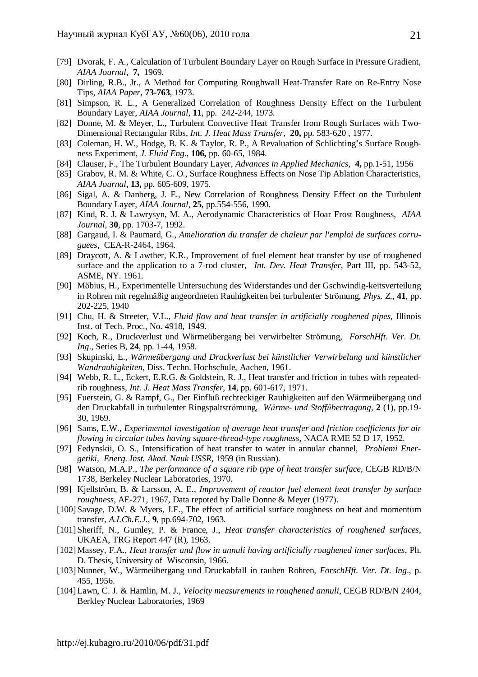- [79] Dvorak, F. A., Calculation of Turbulent Boundary Layer on Rough Surface in Pressure Gradient, *AIAA Journal*, **7,** 1969.
- [80] Dirling, R.B., Jr., A Method for Computing Roughwall Heat-Transfer Rate on Re-Entry Nose Tips, *AIAA Paper*, **73-763**, 1973.
- [81] Simpson, R. L., A Generalized Correlation of Roughness Density Effect on the Turbulent Boundary Layer, *AIAA Journal,* **11**, pp. 242-244, 1973.
- [82] Donne, M. & Meyer, L., Turbulent Convective Heat Transfer from Rough Surfaces with Two-Dimensional Rectangular Ribs, *Int. J. Heat Mass Transfer,* **20,** pp. 583-620 , 1977.
- [83] Coleman, H. W., Hodge, B. K. & Taylor, R. P., A Revaluation of Schlichting's Surface Roughness Experiment, *J. Fluid Eng*., **106,** pp. 60-65, 1984.
- [84] Clauser, F., The Turbulent Boundary Layer, *Advances in Applied Mechanics*, **4,** pp.1-51, 1956
- [85] Grabov, R. M. & White, C. O., Surface Roughness Effects on Nose Tip Ablation Characteristics, *AIAA Journal,* **13,** pp. 605-609, 1975.
- [86] Sigal, A. & Danberg, J. E., New Correlation of Roughness Density Effect on the Turbulent Boundary Layer, *AIAA Journal*, **25**, pp.554-556, 1990.
- [87] Kind, R. J. & Lawrysyn, M. A., Aerodynamic Characteristics of Hoar Frost Roughness, *AIAA Journal*, **30**, pp. 1703-7, 1992.
- [88] Gargaud, I. & Paumard, G., *Amelioration du transfer de chaleur par l'emploi de surfaces corruguees*, CEA-R-2464, 1964.
- [89] Draycott, A. & Lawther, K.R., Improvement of fuel element heat transfer by use of roughened surface and the application to a 7-rod cluster, *Int. Dev. Heat Transfer*, Part III, pp. 543-52, ASME, NY. 1961.
- [90] Möbius, H., Experimentelle Untersuchung des Widerstandes und der Gschwindig-keitsverteilung in Rohren mit regelmäßig angeordneten Rauhigkeiten bei turbulenter Strömung, *Phys. Z.,* **41**, pp. 202-225, 1940
- [91] Chu, H. & Streeter, V.L., *Fluid flow and heat transfer in artificially roughened pipes,* Illinois Inst. of Tech. Proc., No. 4918, 1949.
- [92] Koch, R., Druckverlust und Wärmeübergang bei verwirbelter Strömung, *ForschHft. Ver. Dt. Ing*., Series B, **24**, pp. 1-44, 1958.
- [93] Skupinski, E., *Wärmeübergang und Druckverlust bei künstlicher Verwirbelung und künstlicher Wandrauhigkeiten*, Diss. Techn. Hochschule, Aachen, 1961.
- [94] Webb, R. L., Eckert, E.R.G. & Goldstein, R. J., Heat transfer and friction in tubes with repeatedrib roughness, *Int. J. Heat Mass Transfer,* **14**, pp. 601-617, 1971.
- [95] Fuerstein, G. & Rampf, G., Der Einfluß rechteckiger Rauhigkeiten auf den Wärmeübergang und den Druckabfall in turbulenter Ringspaltströmung, *Wärme- und Stoffübertragung*, **2** (1), pp.19- 30, 1969.
- [96] Sams, E.W., *Experimental investigation of average heat transfer and friction coefficients for air flowing in circular tubes having square-thread-type roughness,* NACA RME 52 D 17, 1952.
- [97] Fedynskii, O. S., Intensification of heat transfer to water in annular channel, *Problemi Energetiki, Energ. Inst. Akad. Nauk USSR*, 1959 (in Russian).
- [98] Watson, M.A.P., *The performance of a square rib type of heat transfer surface,* CEGB RD/B/N 1738, Berkeley Nuclear Laboratories, 1970.
- [99] Kjellström, B. & Larsson, A. E., *Improvement of reactor fuel element heat transfer by surface roughness*, AE-271, 1967, Data repoted by Dalle Donne & Meyer (1977).
- [100] Savage, D.W. & Myers, J.E., The effect of artificial surface roughness on heat and momentum transfer, *A.I.Ch.E.J*., **9**, pp.694-702, 1963.
- [101] Sheriff, N., Gumley, P. & France, J., *Heat transfer characteristics of roughened surfaces,* UKAEA, TRG Report 447 (R), 1963.
- [102]Massey, F.A., *Heat transfer and flow in annuli having artificially roughened inner surfaces*, Ph. D. Thesis, University of Wisconsin, 1966.
- [103] Nunner, W., Wärmeübergang und Druckabfall in rauhen Rohren, *ForschHft. Ver. Dt. Ing*., p. 455, 1956.
- [104]Lawn, C. J. & Hamlin, M. J., *Velocity measurements in roughened annuli*, CEGB RD/B/N 2404, Berkley Nuclear Laboratories, 1969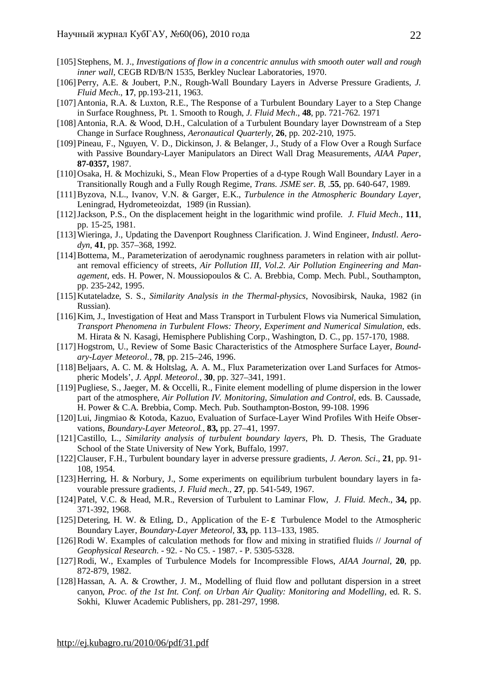- [105] Stephens, M. J., *Investigations of flow in a concentric annulus with smooth outer wall and rough inner wall,* CEGB RD/B/N 1535, Berkley Nuclear Laboratories, 1970.
- [106] Perry, A.E. & Joubert, P.N., Rough-Wall Boundary Layers in Adverse Pressure Gradients, *J. Fluid Mech*., **17**, pp.193-211, 1963.
- [107] Antonia, R.A. & Luxton, R.E., The Response of a Turbulent Boundary Layer to a Step Change in Surface Roughness, Pt. 1. Smooth to Rough, *J. Fluid Mech*., **48**, pp. 721-762. 1971
- [108] Antonia, R.A. & Wood, D.H., Calculation of a Turbulent Boundary layer Downstream of a Step Change in Surface Roughness, *Aeronautical Quarterly*, **26**, pp. 202-210, 1975.
- [109] Pineau, F., Nguyen, V. D., Dickinson, J. & Belanger, J., Study of a Flow Over a Rough Surface with Passive Boundary-Layer Manipulators an Direct Wall Drag Measurements, *AIAA Paper*, **87-0357,** 1987.
- [110] Osaka, H. & Mochizuki, S., Mean Flow Properties of a d-type Rough Wall Boundary Layer in a Transitionally Rough and a Fully Rough Regime, *Trans. JSME ser. B,* .**55**, pp. 640-647, 1989.
- [111]Byzova, N.L., Ivanov, V.N. & Garger, E.K., *Turbulence in the Atmospheric Boundary Layer*, Leningrad, Hydrometeoizdat, 1989 (in Russian).
- [112]Jackson, P.S., On the displacement height in the logarithmic wind profile. *J. Fluid Mech*., **111**, pp. 15-25, 1981.
- [113]Wieringa, J., Updating the Davenport Roughness Clarification. J. Wind Engineer, *Industl. Aerodyn*, **41**, pp. 357–368, 1992.
- [114]Bottema, M., Parameterization of aerodynamic roughness parameters in relation with air pollutant removal efficiency of streets, *Air Pollution III, Vol.2. Air Pollution Engineering and Management*, eds. H. Power, N. Moussiopoulos & C. A. Brebbia, Comp. Mech. Publ., Southampton, pp. 235-242, 1995.
- [115] Kutateladze, S. S., *Similarity Analysis in the Thermal-physics*, Novosibirsk, Nauka, 1982 (in Russian).
- [116] Kim, J., Investigation of Heat and Mass Transport in Turbulent Flows via Numerical Simulation, *Transport Phenomena in Turbulent Flows: Theory, Experiment and Numerical Simulation*, eds. M. Hirata & N. Kasagi, Hemisphere Publishing Corp., Washington, D. C., pp. 157-170, 1988.
- [117] Hogstrom, U., Review of Some Basic Characteristics of the Atmosphere Surface Layer, *Boundary-Layer Meteorol.,* **78**, pp. 215–246, 1996.
- [118]Beljaars, A. C. M. & Holtslag, A. A. M., Flux Parameterization over Land Surfaces for Atmospheric Models', *J. Appl. Meteorol.,* **30**, pp. 327–341, 1991.
- [119] Pugliese, S., Jaeger, M. & Occelli, R., Finite element modelling of plume dispersion in the lower part of the atmosphere, *Air Pollution IV. Monitoring, Simulation and Control*, eds. B. Caussade, H. Power & C.A. Brebbia, Comp. Mech. Pub. Southampton-Boston, 99-108. 1996
- [120]Lui, Jingmiao & Kotoda, Kazuo, Evaluation of Surface-Layer Wind Profiles With Heife Observations, *Boundary-Layer Meteorol.,* **83,** pp. 27–41, 1997.
- [121]Castillo, L., *Similarity analysis of turbulent boundary layers*, Ph. D. Thesis, The Graduate School of the State University of New York, Buffalo, 1997.
- [122]Clauser, F.H., Turbulent boundary layer in adverse pressure gradients, *J. Aeron. Sci*., **21**, pp. 91- 108, 1954.
- [123] Herring, H. & Norbury, J., Some experiments on equilibrium turbulent boundary layers in favourable pressure gradients, *J. Fluid mech.*, **27**, pp. 541-549, 1967.
- [124] Patel, V.C. & Head, M.R., Reversion of Turbulent to Laminar Flow, *J. Fluid. Mech*., **34,** pp. 371-392, 1968.
- [125] Detering, H. W. & Etling, D., Application of the E- *e* Turbulence Model to the Atmospheric Boundary Layer, *Boundary-Layer Meteorol,* **33,** pp. 113–133, 1985.
- [126]Rodi W. Examples of calculation methods for flow and mixing in stratified fluids // *Journal of Geophysical Research*. - 92. - No C5. - 1987. - P. 5305-5328.
- [127]Rodi, W., Examples of Turbulence Models for Incompressible Flows, *AIAA Journal*, **20**, pp. 872-879, 1982.
- [128] Hassan, A. A. & Crowther, J. M., Modelling of fluid flow and pollutant dispersion in a street canyon, *Proc. of the 1st Int. Conf. on Urban Air Quality: Monitoring and Modelling*, ed. R. S. Sokhi, Kluwer Academic Publishers, pp. 281-297, 1998.